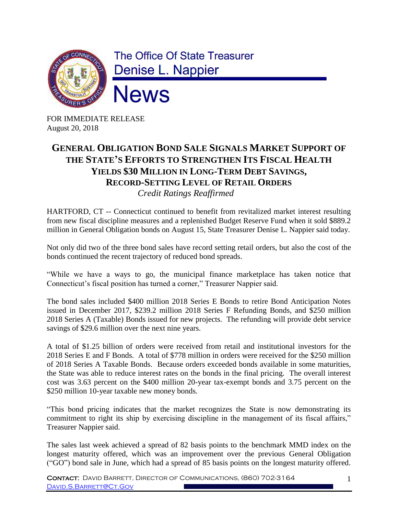

FOR IMMEDIATE RELEASE August 20, 2018

## **GENERAL OBLIGATION BOND SALE SIGNALS MARKET SUPPORT OF THE STATE'S EFFORTS TO STRENGTHEN ITS FISCAL HEALTH YIELDS \$30 MILLION IN LONG-TERM DEBT SAVINGS, RECORD-SETTING LEVEL OF RETAIL ORDERS**

 *Credit Ratings Reaffirmed*

HARTFORD, CT -- Connecticut continued to benefit from revitalized market interest resulting from new fiscal discipline measures and a replenished Budget Reserve Fund when it sold \$889.2 million in General Obligation bonds on August 15, State Treasurer Denise L. Nappier said today.

Not only did two of the three bond sales have record setting retail orders, but also the cost of the bonds continued the recent trajectory of reduced bond spreads.

"While we have a ways to go, the municipal finance marketplace has taken notice that Connecticut's fiscal position has turned a corner," Treasurer Nappier said.

The bond sales included \$400 million 2018 Series E Bonds to retire Bond Anticipation Notes issued in December 2017, \$239.2 million 2018 Series F Refunding Bonds, and \$250 million 2018 Series A (Taxable) Bonds issued for new projects. The refunding will provide debt service savings of \$29.6 million over the next nine years.

A total of \$1.25 billion of orders were received from retail and institutional investors for the 2018 Series E and F Bonds. A total of \$778 million in orders were received for the \$250 million of 2018 Series A Taxable Bonds. Because orders exceeded bonds available in some maturities, the State was able to reduce interest rates on the bonds in the final pricing. The overall interest cost was 3.63 percent on the \$400 million 20-year tax-exempt bonds and 3.75 percent on the \$250 million 10-year taxable new money bonds.

"This bond pricing indicates that the market recognizes the State is now demonstrating its commitment to right its ship by exercising discipline in the management of its fiscal affairs," Treasurer Nappier said.

The sales last week achieved a spread of 82 basis points to the benchmark MMD index on the longest maturity offered, which was an improvement over the previous General Obligation ("GO") bond sale in June, which had a spread of 85 basis points on the longest maturity offered.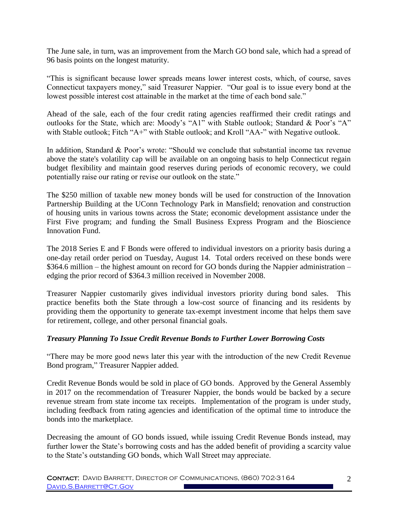The June sale, in turn, was an improvement from the March GO bond sale, which had a spread of 96 basis points on the longest maturity.

"This is significant because lower spreads means lower interest costs, which, of course, saves Connecticut taxpayers money," said Treasurer Nappier. "Our goal is to issue every bond at the lowest possible interest cost attainable in the market at the time of each bond sale."

Ahead of the sale, each of the four credit rating agencies reaffirmed their credit ratings and outlooks for the State, which are: Moody's "A1" with Stable outlook; Standard & Poor's "A" with Stable outlook; Fitch "A+" with Stable outlook; and Kroll "AA-" with Negative outlook.

In addition, Standard & Poor's wrote: "Should we conclude that substantial income tax revenue above the state's volatility cap will be available on an ongoing basis to help Connecticut regain budget flexibility and maintain good reserves during periods of economic recovery, we could potentially raise our rating or revise our outlook on the state."

The \$250 million of taxable new money bonds will be used for construction of the Innovation Partnership Building at the UConn Technology Park in Mansfield; renovation and construction of housing units in various towns across the State; economic development assistance under the First Five program; and funding the Small Business Express Program and the Bioscience Innovation Fund.

The 2018 Series E and F Bonds were offered to individual investors on a priority basis during a one-day retail order period on Tuesday, August 14. Total orders received on these bonds were \$364.6 million – the highest amount on record for GO bonds during the Nappier administration – edging the prior record of \$364.3 million received in November 2008.

Treasurer Nappier customarily gives individual investors priority during bond sales. This practice benefits both the State through a low-cost source of financing and its residents by providing them the opportunity to generate tax-exempt investment income that helps them save for retirement, college, and other personal financial goals.

## *Treasury Planning To Issue Credit Revenue Bonds to Further Lower Borrowing Costs*

"There may be more good news later this year with the introduction of the new Credit Revenue Bond program," Treasurer Nappier added.

Credit Revenue Bonds would be sold in place of GO bonds. Approved by the General Assembly in 2017 on the recommendation of Treasurer Nappier, the bonds would be backed by a secure revenue stream from state income tax receipts. Implementation of the program is under study, including feedback from rating agencies and identification of the optimal time to introduce the bonds into the marketplace.

Decreasing the amount of GO bonds issued, while issuing Credit Revenue Bonds instead, may further lower the State's borrowing costs and has the added benefit of providing a scarcity value to the State's outstanding GO bonds, which Wall Street may appreciate.